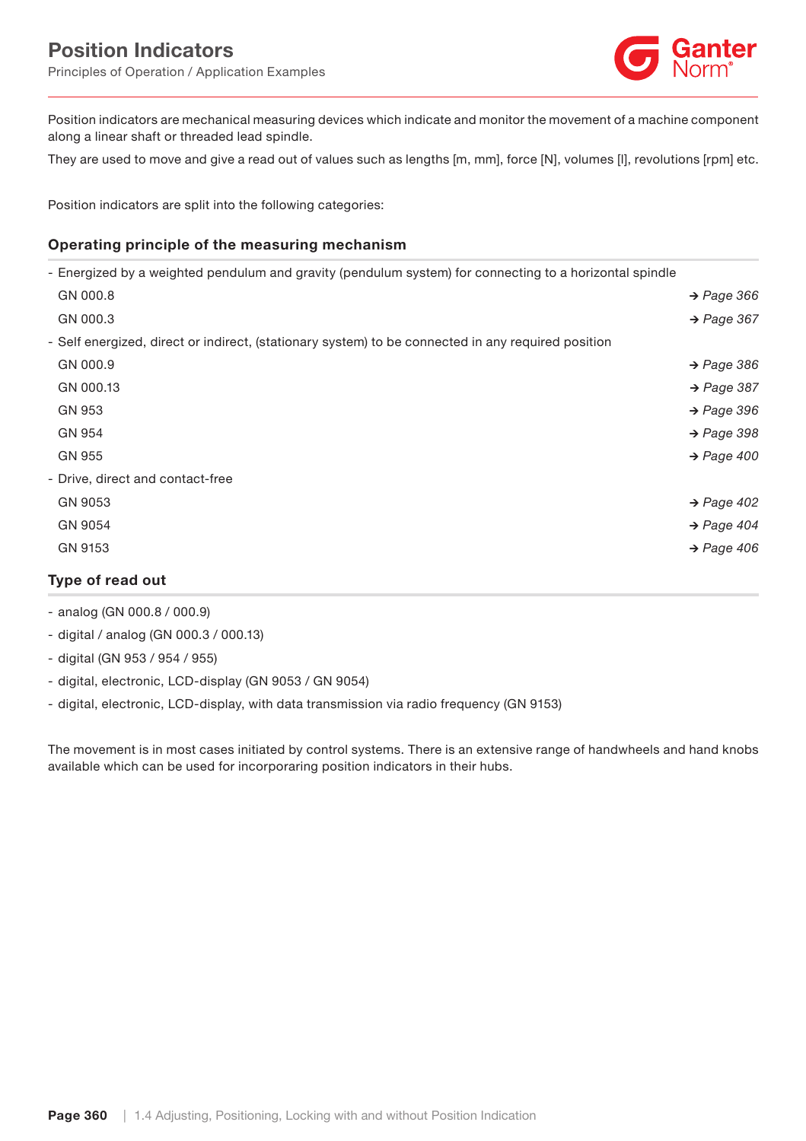

Position indicators are mechanical measuring devices which indicate and monitor the movement of a machine component along a linear shaft or threaded lead spindle.

They are used to move and give a read out of values such as lengths [m, mm], force [N], volumes [l], revolutions [rpm] etc.

Position indicators are split into the following categories:

## Operating principle of the measuring mechanism

| GN 9153                                                                                                 | $\rightarrow$ Page 406 |
|---------------------------------------------------------------------------------------------------------|------------------------|
| GN 9054                                                                                                 | $\rightarrow$ Page 404 |
| GN 9053                                                                                                 | $\rightarrow$ Page 402 |
| - Drive, direct and contact-free                                                                        |                        |
| GN 955                                                                                                  | $\rightarrow$ Page 400 |
| GN 954                                                                                                  | $\rightarrow$ Page 398 |
| GN 953                                                                                                  | $\rightarrow$ Page 396 |
| GN 000.13                                                                                               | $\rightarrow$ Page 387 |
| GN 000.9                                                                                                | $\rightarrow$ Page 386 |
| - Self energized, direct or indirect, (stationary system) to be connected in any required position      |                        |
| GN 000.3                                                                                                | $\rightarrow$ Page 367 |
| GN 000.8                                                                                                | $\rightarrow$ Page 366 |
| - Energized by a weighted pendulum and gravity (pendulum system) for connecting to a horizontal spindle |                        |

- analog (GN 000.8 / 000.9)
- digital / analog (GN 000.3 / 000.13)
- digital (GN 953 / 954 / 955)
- digital, electronic, LCD-display (GN 9053 / GN 9054)
- digital, electronic, LCD-display, with data transmission via radio frequency (GN 9153)

The movement is in most cases initiated by control systems. There is an extensive range of handwheels and hand knobs available which can be used for incorporaring position indicators in their hubs.